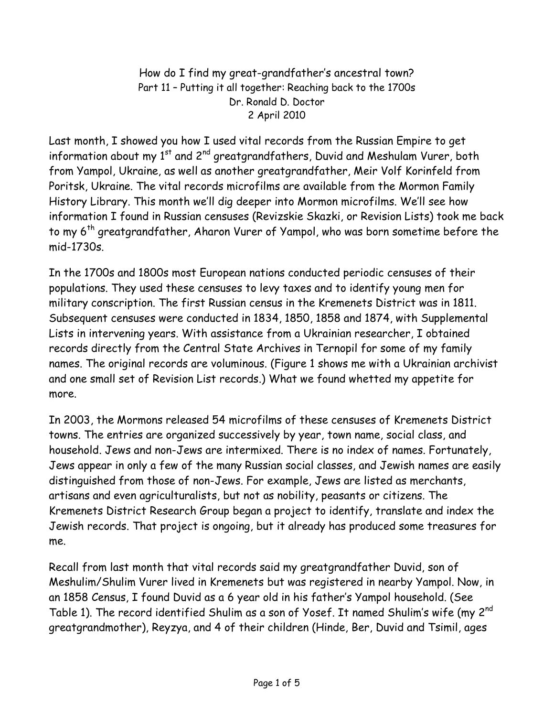How do I find my great-grandfather's ancestral town? Part 11 – Putting it all together: Reaching back to the 1700s Dr. Ronald D. Doctor 2 April 2010

Last month, I showed you how I used vital records from the Russian Empire to get information about my  $1<sup>st</sup>$  and  $2<sup>nd</sup>$  greatgrandfathers, Duvid and Meshulam Vurer, both from Yampol, Ukraine, as well as another greatgrandfather, Meir Volf Korinfeld from Poritsk, Ukraine. The vital records microfilms are available from the Mormon Family History Library. This month we'll dig deeper into Mormon microfilms. We'll see how information I found in Russian censuses (Revizskie Skazki, or Revision Lists) took me back to my 6<sup>th</sup> greatgrandfather, Aharon Vurer of Yampol, who was born sometime before the mid-1730s.

In the 1700s and 1800s most European nations conducted periodic censuses of their populations. They used these censuses to levy taxes and to identify young men for military conscription. The first Russian census in the Kremenets District was in 1811. Subsequent censuses were conducted in 1834, 1850, 1858 and 1874, with Supplemental Lists in intervening years. With assistance from a Ukrainian researcher, I obtained records directly from the Central State Archives in Ternopil for some of my family names. The original records are voluminous. (Figure 1 shows me with a Ukrainian archivist and one small set of Revision List records.) What we found whetted my appetite for more.

In 2003, the Mormons released 54 microfilms of these censuses of Kremenets District towns. The entries are organized successively by year, town name, social class, and household. Jews and non-Jews are intermixed. There is no index of names. Fortunately, Jews appear in only a few of the many Russian social classes, and Jewish names are easily distinguished from those of non-Jews. For example, Jews are listed as merchants, artisans and even agriculturalists, but not as nobility, peasants or citizens. The Kremenets District Research Group began a project to identify, translate and index the Jewish records. That project is ongoing, but it already has produced some treasures for me.

Recall from last month that vital records said my greatgrandfather Duvid, son of Meshulim/Shulim Vurer lived in Kremenets but was registered in nearby Yampol. Now, in an 1858 Census, I found Duvid as a 6 year old in his father's Yampol household. (See Table 1). The record identified Shulim as a son of Yosef. It named Shulim's wife (my 2<sup>nd</sup> greatgrandmother), Reyzya, and 4 of their children (Hinde, Ber, Duvid and Tsimil, ages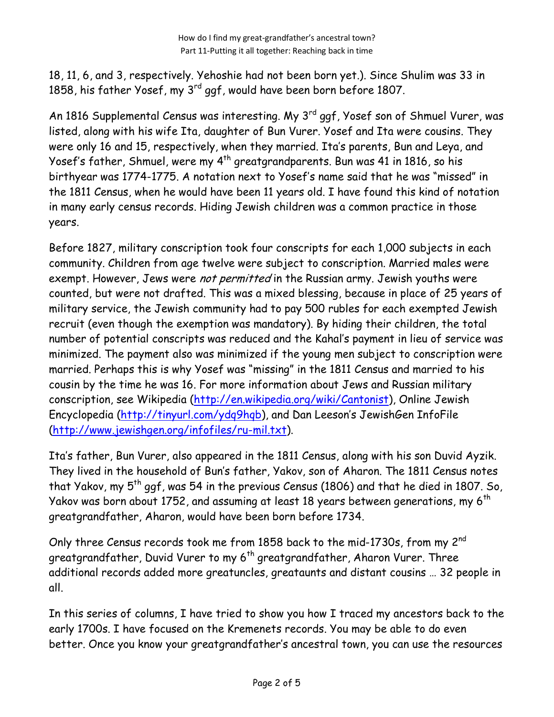18, 11, 6, and 3, respectively. Yehoshie had not been born yet.). Since Shulim was 33 in 1858, his father Yosef, my 3<sup>rd</sup> ggf, would have been born before 1807.

An 1816 Supplemental Census was interesting. My 3<sup>rd</sup> ggf, Yosef son of Shmuel Vurer, was listed, along with his wife Ita, daughter of Bun Vurer. Yosef and Ita were cousins. They were only 16 and 15, respectively, when they married. Ita's parents, Bun and Leya, and Yosef's father, Shmuel, were my 4<sup>th</sup> greatgrandparents. Bun was 41 in 1816, so his birthyear was 1774-1775. A notation next to Yosef's name said that he was "missed" in the 1811 Census, when he would have been 11 years old. I have found this kind of notation in many early census records. Hiding Jewish children was a common practice in those years.

Before 1827, military conscription took four conscripts for each 1,000 subjects in each community. Children from age twelve were subject to conscription. Married males were exempt. However, Jews were not permitted in the Russian army. Jewish youths were counted, but were not drafted. This was a mixed blessing, because in place of 25 years of military service, the Jewish community had to pay 500 rubles for each exempted Jewish recruit (even though the exemption was mandatory). By hiding their children, the total number of potential conscripts was reduced and the Kahal's payment in lieu of service was minimized. The payment also was minimized if the young men subject to conscription were married. Perhaps this is why Yosef was "missing" in the 1811 Census and married to his cousin by the time he was 16. For more information about Jews and Russian military conscription, see Wikipedia (http://en.wikipedia.org/wiki/Cantonist), Online Jewish Encyclopedia (http://tinyurl.com/ydq9hqb), and Dan Leeson's JewishGen InfoFile (http://www.jewishgen.org/infofiles/ru-mil.txt).

Ita's father, Bun Vurer, also appeared in the 1811 Census, along with his son Duvid Ayzik. They lived in the household of Bun's father, Yakov, son of Aharon. The 1811 Census notes that Yakov, my  $5^{th}$  ggf, was 54 in the previous Census (1806) and that he died in 1807. So, Yakov was born about 1752, and assuming at least 18 years between generations, my 6<sup>th</sup> greatgrandfather, Aharon, would have been born before 1734.

Only three Census records took me from 1858 back to the mid-1730s, from my 2<sup>nd</sup> greatgrandfather, Duvid Vurer to my 6<sup>th</sup> greatgrandfather, Aharon Vurer. Three additional records added more greatuncles, greataunts and distant cousins … 32 people in all.

In this series of columns, I have tried to show you how I traced my ancestors back to the early 1700s. I have focused on the Kremenets records. You may be able to do even better. Once you know your greatgrandfather's ancestral town, you can use the resources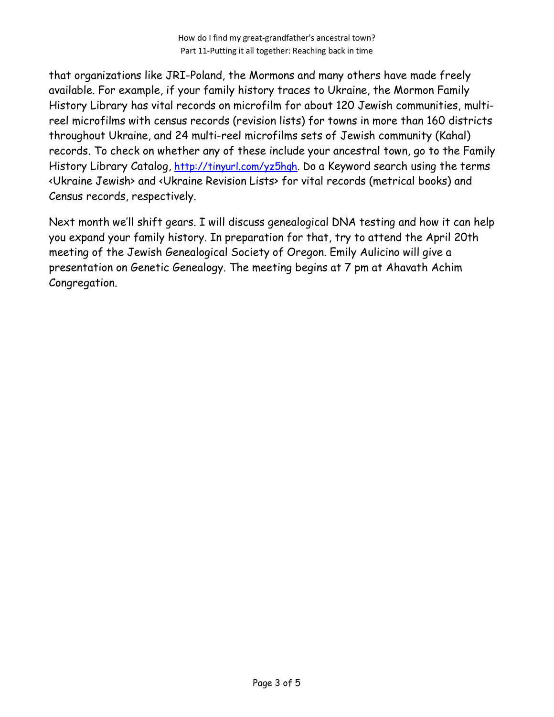that organizations like JRI-Poland, the Mormons and many others have made freely available. For example, if your family history traces to Ukraine, the Mormon Family History Library has vital records on microfilm for about 120 Jewish communities, multireel microfilms with census records (revision lists) for towns in more than 160 districts throughout Ukraine, and 24 multi-reel microfilms sets of Jewish community (Kahal) records. To check on whether any of these include your ancestral town, go to the Family History Library Catalog, http://tinyurl.com/yz5hqh. Do a Keyword search using the terms <Ukraine Jewish> and <Ukraine Revision Lists> for vital records (metrical books) and Census records, respectively.

Next month we'll shift gears. I will discuss genealogical DNA testing and how it can help you expand your family history. In preparation for that, try to attend the April 20th meeting of the Jewish Genealogical Society of Oregon. Emily Aulicino will give a presentation on Genetic Genealogy. The meeting begins at 7 pm at Ahavath Achim Congregation.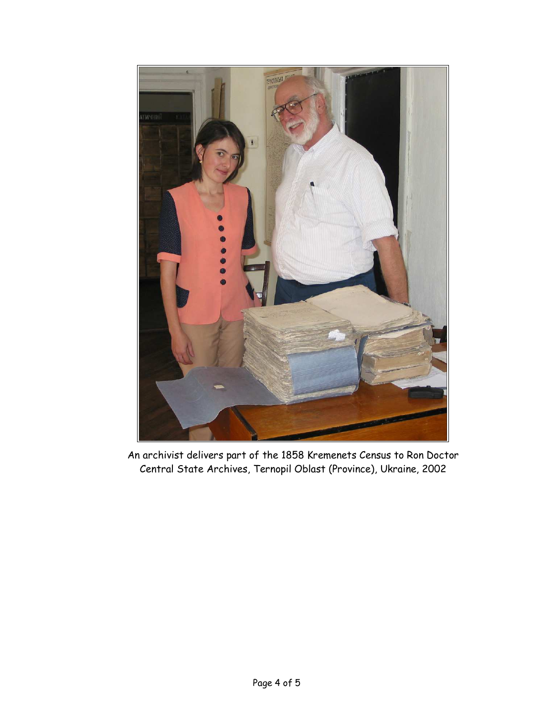

An archivist delivers part of the 1858 Kremenets Census to Ron Doctor Central State Archives, Ternopil Oblast (Province), Ukraine, 2002